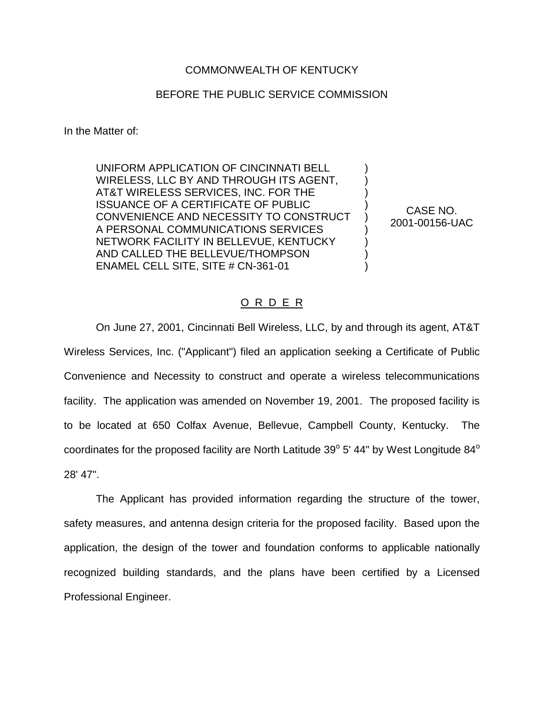## COMMONWEALTH OF KENTUCKY

## BEFORE THE PUBLIC SERVICE COMMISSION

In the Matter of:

UNIFORM APPLICATION OF CINCINNATI BELL WIRELESS, LLC BY AND THROUGH ITS AGENT, AT&T WIRELESS SERVICES, INC. FOR THE ISSUANCE OF A CERTIFICATE OF PUBLIC CONVENIENCE AND NECESSITY TO CONSTRUCT A PERSONAL COMMUNICATIONS SERVICES NETWORK FACILITY IN BELLEVUE, KENTUCKY AND CALLED THE BELLEVUE/THOMPSON ENAMEL CELL SITE, SITE # CN-361-01

CASE NO. 2001-00156-UAC

) ) ) ) ) ) ) ) )

## O R D E R

On June 27, 2001, Cincinnati Bell Wireless, LLC, by and through its agent, AT&T Wireless Services, Inc. ("Applicant") filed an application seeking a Certificate of Public Convenience and Necessity to construct and operate a wireless telecommunications facility. The application was amended on November 19, 2001. The proposed facility is to be located at 650 Colfax Avenue, Bellevue, Campbell County, Kentucky. The coordinates for the proposed facility are North Latitude  $39^{\circ}$  5' 44" by West Longitude  $84^{\circ}$ 28' 47".

The Applicant has provided information regarding the structure of the tower, safety measures, and antenna design criteria for the proposed facility. Based upon the application, the design of the tower and foundation conforms to applicable nationally recognized building standards, and the plans have been certified by a Licensed Professional Engineer.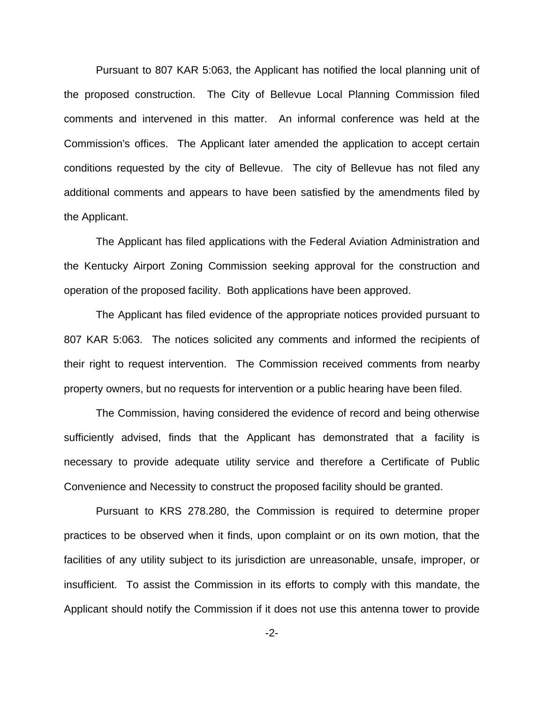Pursuant to 807 KAR 5:063, the Applicant has notified the local planning unit of the proposed construction. The City of Bellevue Local Planning Commission filed comments and intervened in this matter. An informal conference was held at the Commission's offices. The Applicant later amended the application to accept certain conditions requested by the city of Bellevue. The city of Bellevue has not filed any additional comments and appears to have been satisfied by the amendments filed by the Applicant.

The Applicant has filed applications with the Federal Aviation Administration and the Kentucky Airport Zoning Commission seeking approval for the construction and operation of the proposed facility. Both applications have been approved.

The Applicant has filed evidence of the appropriate notices provided pursuant to 807 KAR 5:063. The notices solicited any comments and informed the recipients of their right to request intervention. The Commission received comments from nearby property owners, but no requests for intervention or a public hearing have been filed.

The Commission, having considered the evidence of record and being otherwise sufficiently advised, finds that the Applicant has demonstrated that a facility is necessary to provide adequate utility service and therefore a Certificate of Public Convenience and Necessity to construct the proposed facility should be granted.

Pursuant to KRS 278.280, the Commission is required to determine proper practices to be observed when it finds, upon complaint or on its own motion, that the facilities of any utility subject to its jurisdiction are unreasonable, unsafe, improper, or insufficient. To assist the Commission in its efforts to comply with this mandate, the Applicant should notify the Commission if it does not use this antenna tower to provide

-2-